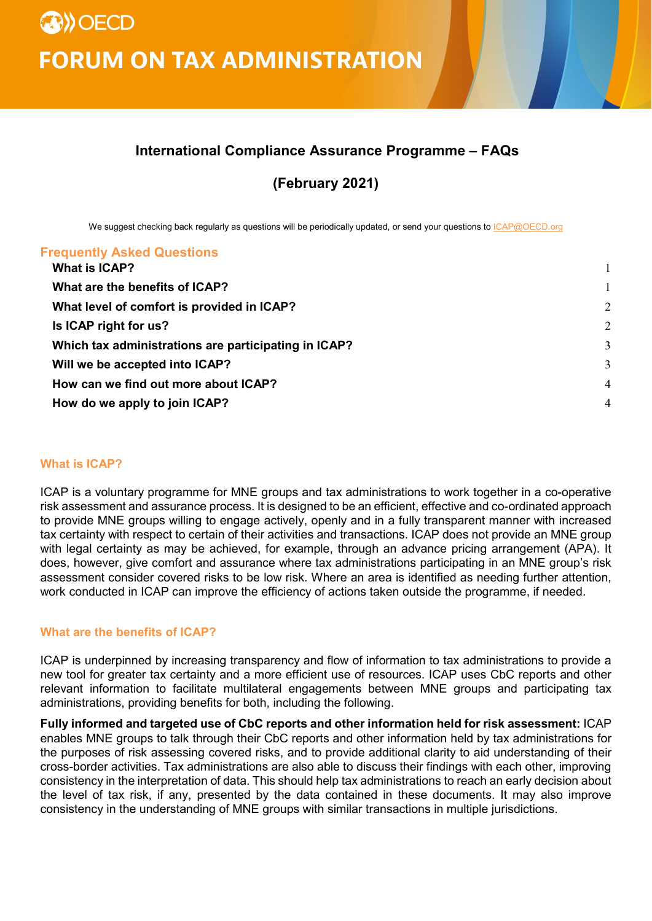# **International Compliance Assurance Programme – FAQs**

**(February 2021)**

We suggest checking back regularly as questions will be periodically updated, or send your questions to *ICAP@OECD.org* 

#### **Frequently Asked Questions**

| What is ICAP?                                        |                |
|------------------------------------------------------|----------------|
| What are the benefits of ICAP?                       |                |
| What level of comfort is provided in ICAP?           | 2              |
| Is ICAP right for us?                                | $\overline{2}$ |
| Which tax administrations are participating in ICAP? | 3              |
| Will we be accepted into ICAP?                       | 3              |
| How can we find out more about ICAP?                 | $\overline{4}$ |
| How do we apply to join ICAP?                        | $\overline{4}$ |
|                                                      |                |

#### <span id="page-0-0"></span>**What is ICAP?**

ICAP is a voluntary programme for MNE groups and tax administrations to work together in a co-operative risk assessment and assurance process. It is designed to be an efficient, effective and co-ordinated approach to provide MNE groups willing to engage actively, openly and in a fully transparent manner with increased tax certainty with respect to certain of their activities and transactions. ICAP does not provide an MNE group with legal certainty as may be achieved, for example, through an advance pricing arrangement (APA). It does, however, give comfort and assurance where tax administrations participating in an MNE group's risk assessment consider covered risks to be low risk. Where an area is identified as needing further attention, work conducted in ICAP can improve the efficiency of actions taken outside the programme, if needed.

### <span id="page-0-1"></span>**What are the benefits of ICAP?**

ICAP is underpinned by increasing transparency and flow of information to tax administrations to provide a new tool for greater tax certainty and a more efficient use of resources. ICAP uses CbC reports and other relevant information to facilitate multilateral engagements between MNE groups and participating tax administrations, providing benefits for both, including the following.

**Fully informed and targeted use of CbC reports and other information held for risk assessment:** ICAP enables MNE groups to talk through their CbC reports and other information held by tax administrations for the purposes of risk assessing covered risks, and to provide additional clarity to aid understanding of their cross-border activities. Tax administrations are also able to discuss their findings with each other, improving consistency in the interpretation of data. This should help tax administrations to reach an early decision about the level of tax risk, if any, presented by the data contained in these documents. It may also improve consistency in the understanding of MNE groups with similar transactions in multiple jurisdictions.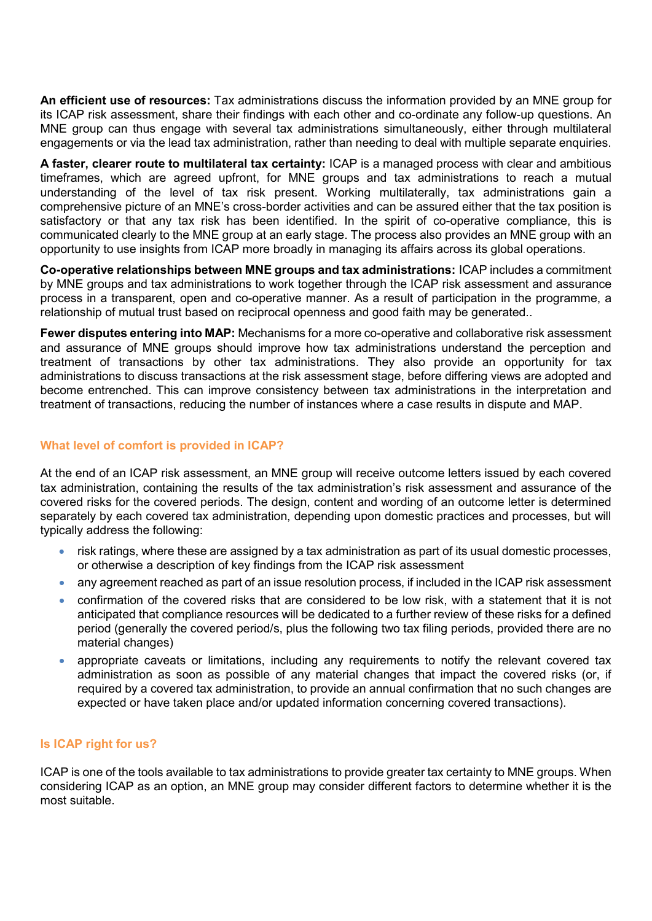**An efficient use of resources:** Tax administrations discuss the information provided by an MNE group for its ICAP risk assessment, share their findings with each other and co-ordinate any follow-up questions. An MNE group can thus engage with several tax administrations simultaneously, either through multilateral engagements or via the lead tax administration, rather than needing to deal with multiple separate enquiries.

**A faster, clearer route to multilateral tax certainty:** ICAP is a managed process with clear and ambitious timeframes, which are agreed upfront, for MNE groups and tax administrations to reach a mutual understanding of the level of tax risk present. Working multilaterally, tax administrations gain a comprehensive picture of an MNE's cross-border activities and can be assured either that the tax position is satisfactory or that any tax risk has been identified. In the spirit of co-operative compliance, this is communicated clearly to the MNE group at an early stage. The process also provides an MNE group with an opportunity to use insights from ICAP more broadly in managing its affairs across its global operations.

**Co-operative relationships between MNE groups and tax administrations:** ICAP includes a commitment by MNE groups and tax administrations to work together through the ICAP risk assessment and assurance process in a transparent, open and co-operative manner. As a result of participation in the programme, a relationship of mutual trust based on reciprocal openness and good faith may be generated..

**Fewer disputes entering into MAP:** Mechanisms for a more co-operative and collaborative risk assessment and assurance of MNE groups should improve how tax administrations understand the perception and treatment of transactions by other tax administrations. They also provide an opportunity for tax administrations to discuss transactions at the risk assessment stage, before differing views are adopted and become entrenched. This can improve consistency between tax administrations in the interpretation and treatment of transactions, reducing the number of instances where a case results in dispute and MAP.

## <span id="page-1-0"></span>**What level of comfort is provided in ICAP?**

At the end of an ICAP risk assessment, an MNE group will receive outcome letters issued by each covered tax administration, containing the results of the tax administration's risk assessment and assurance of the covered risks for the covered periods. The design, content and wording of an outcome letter is determined separately by each covered tax administration, depending upon domestic practices and processes, but will typically address the following:

- risk ratings, where these are assigned by a tax administration as part of its usual domestic processes, or otherwise a description of key findings from the ICAP risk assessment
- any agreement reached as part of an issue resolution process, if included in the ICAP risk assessment
- confirmation of the covered risks that are considered to be low risk, with a statement that it is not anticipated that compliance resources will be dedicated to a further review of these risks for a defined period (generally the covered period/s, plus the following two tax filing periods, provided there are no material changes)
- appropriate caveats or limitations, including any requirements to notify the relevant covered tax administration as soon as possible of any material changes that impact the covered risks (or, if required by a covered tax administration, to provide an annual confirmation that no such changes are expected or have taken place and/or updated information concerning covered transactions).

#### <span id="page-1-1"></span>**Is ICAP right for us?**

ICAP is one of the tools available to tax administrations to provide greater tax certainty to MNE groups. When considering ICAP as an option, an MNE group may consider different factors to determine whether it is the most suitable.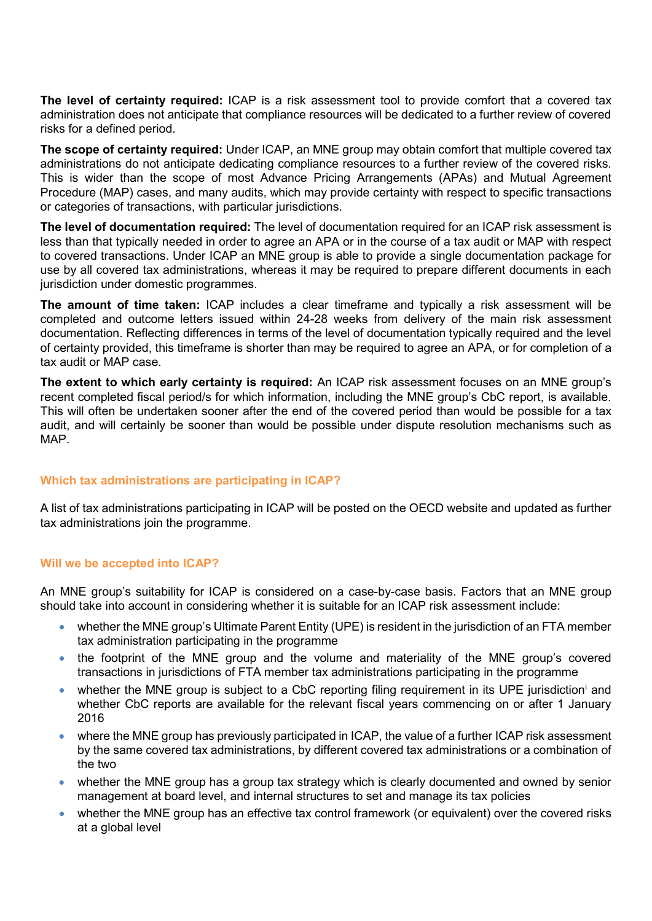**The level of certainty required:** ICAP is a risk assessment tool to provide comfort that a covered tax administration does not anticipate that compliance resources will be dedicated to a further review of covered risks for a defined period.

**The scope of certainty required:** Under ICAP, an MNE group may obtain comfort that multiple covered tax administrations do not anticipate dedicating compliance resources to a further review of the covered risks. This is wider than the scope of most Advance Pricing Arrangements (APAs) and Mutual Agreement Procedure (MAP) cases, and many audits, which may provide certainty with respect to specific transactions or categories of transactions, with particular jurisdictions.

**The level of documentation required:** The level of documentation required for an ICAP risk assessment is less than that typically needed in order to agree an APA or in the course of a tax audit or MAP with respect to covered transactions. Under ICAP an MNE group is able to provide a single documentation package for use by all covered tax administrations, whereas it may be required to prepare different documents in each jurisdiction under domestic programmes.

**The amount of time taken:** ICAP includes a clear timeframe and typically a risk assessment will be completed and outcome letters issued within 24-28 weeks from delivery of the main risk assessment documentation. Reflecting differences in terms of the level of documentation typically required and the level of certainty provided, this timeframe is shorter than may be required to agree an APA, or for completion of a tax audit or MAP case.

**The extent to which early certainty is required:** An ICAP risk assessment focuses on an MNE group's recent completed fiscal period/s for which information, including the MNE group's CbC report, is available. This will often be undertaken sooner after the end of the covered period than would be possible for a tax audit, and will certainly be sooner than would be possible under dispute resolution mechanisms such as MAP.

#### <span id="page-2-0"></span>**Which tax administrations are participating in ICAP?**

A list of tax administrations participating in ICAP will be posted on the OECD website and updated as further tax administrations join the programme.

#### <span id="page-2-1"></span>**Will we be accepted into ICAP?**

An MNE group's suitability for ICAP is considered on a case-by-case basis. Factors that an MNE group should take into account in considering whether it is suitable for an ICAP risk assessment include:

- whether the MNE group's Ultimate Parent Entity (UPE) is resident in the jurisdiction of an FTA member tax administration participating in the programme
- the footprint of the MNE group and the volume and materiality of the MNE group's covered transactions in jurisdictions of FTA member tax administrations participating in the programme
- whether the MNE group [i](#page-3-2)s subject to a CbC reporting filing requirement in its UPE jurisdiction<sup>i</sup> and whether CbC reports are available for the relevant fiscal years commencing on or after 1 January 2016
- where the MNE group has previously participated in ICAP, the value of a further ICAP risk assessment by the same covered tax administrations, by different covered tax administrations or a combination of the two
- whether the MNE group has a group tax strategy which is clearly documented and owned by senior management at board level, and internal structures to set and manage its tax policies
- whether the MNE group has an effective tax control framework (or equivalent) over the covered risks at a global level